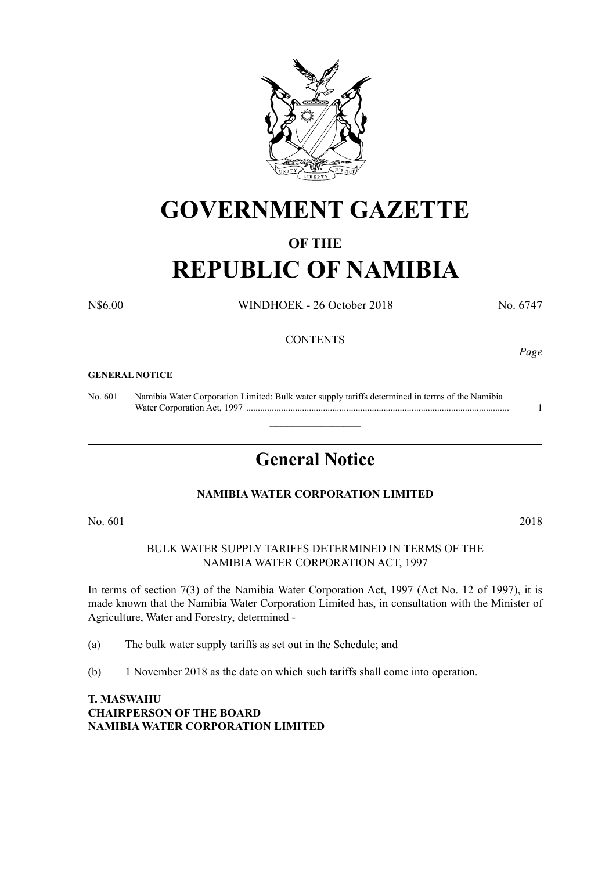

# **GOVERNMENT GAZETTE**

## **OF THE**

# **REPUBLIC OF NAMIBIA**

N\$6.00 WINDHOEK - 26 October 2018 No. 6747

### **CONTENTS**

#### **GENERAL NOTICE**

No. 601 Namibia Water Corporation Limited: Bulk water supply tariffs determined in terms of the Namibia Water Corporation Act, 1997 ................................................................................................................. 1

# **General Notice**

 $\overline{\phantom{a}}$  , where  $\overline{\phantom{a}}$ 

### **NAMibia WATER CORPORATION LIMITED**

No. 601 2018

BULK WATER SUPPLY TARIFFS DETERMINED IN TERMS OF THE NAMIBIA WATER CORPORATION ACT, 1997

In terms of section 7(3) of the Namibia Water Corporation Act, 1997 (Act No. 12 of 1997), it is made known that the Namibia Water Corporation Limited has, in consultation with the Minister of Agriculture, Water and Forestry, determined -

(a) The bulk water supply tariffs as set out in the Schedule; and

(b) 1 November 2018 as the date on which such tariffs shall come into operation.

**T. MASWAHU CHAIRPERSON OF THE BOARD NAMIBIA WATER CORPORATION LIMITED** *Page*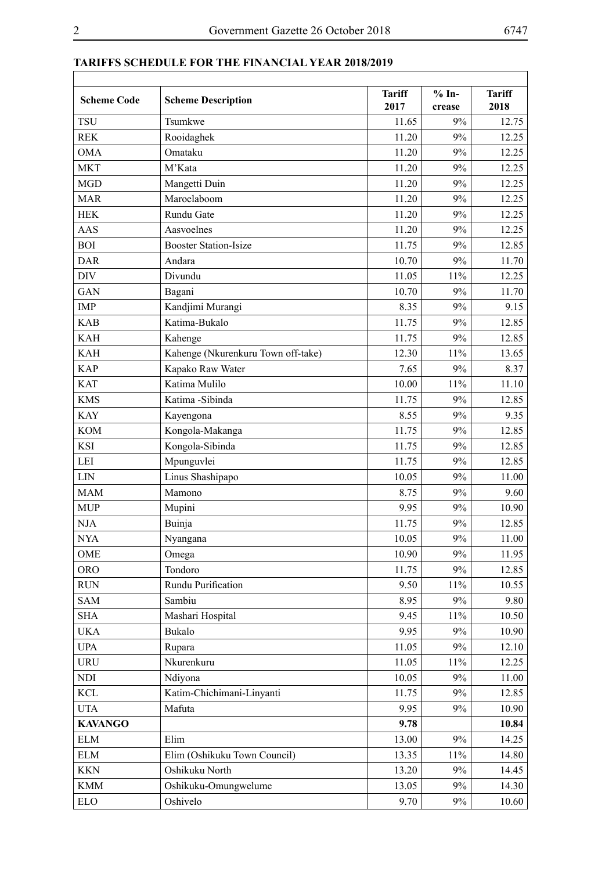| <b>Scheme Code</b> | <b>Scheme Description</b>          | <b>Tariff</b><br>2017 | $% In-$<br>crease | <b>Tariff</b><br>2018 |
|--------------------|------------------------------------|-----------------------|-------------------|-----------------------|
| <b>TSU</b>         | Tsumkwe                            | 11.65                 | 9%                | 12.75                 |
| <b>REK</b>         | Rooidaghek                         | 11.20                 | 9%                | 12.25                 |
| <b>OMA</b>         | Omataku                            | 11.20                 | 9%                | 12.25                 |
| <b>MKT</b>         | M'Kata                             | 11.20                 | 9%                | 12.25                 |
| <b>MGD</b>         | Mangetti Duin                      | 11.20                 | 9%                | 12.25                 |
| <b>MAR</b>         | Maroelaboom                        | 11.20                 | 9%                | 12.25                 |
| <b>HEK</b>         | Rundu Gate                         | 11.20                 | 9%                | 12.25                 |
| AAS                | Aasvoelnes                         | 11.20                 | 9%                | 12.25                 |
| <b>BOI</b>         | <b>Booster Station-Isize</b>       | 11.75                 | 9%                | 12.85                 |
| <b>DAR</b>         | Andara                             | 10.70                 | 9%                | 11.70                 |
| <b>DIV</b>         | Divundu                            | 11.05                 | 11%               | 12.25                 |
| GAN                | Bagani                             | 10.70                 | 9%                | 11.70                 |
| <b>IMP</b>         | Kandjimi Murangi                   | 8.35                  | 9%                | 9.15                  |
| <b>KAB</b>         | Katima-Bukalo                      | 11.75                 | 9%                | 12.85                 |
| <b>KAH</b>         | Kahenge                            | 11.75                 | 9%                | 12.85                 |
| <b>KAH</b>         | Kahenge (Nkurenkuru Town off-take) | 12.30                 | 11%               | 13.65                 |
| <b>KAP</b>         | Kapako Raw Water                   | 7.65                  | 9%                | 8.37                  |
| <b>KAT</b>         | Katima Mulilo                      | 10.00                 | 11%               | 11.10                 |
| <b>KMS</b>         | Katima -Sibinda                    | 11.75                 | 9%                | 12.85                 |
| <b>KAY</b>         | Kayengona                          | 8.55                  | 9%                | 9.35                  |
| <b>KOM</b>         | Kongola-Makanga                    | 11.75                 | 9%                | 12.85                 |
| KSI                | Kongola-Sibinda                    | 11.75                 | 9%                | 12.85                 |
| LEI                | Mpunguvlei                         | 11.75                 | 9%                | 12.85                 |
| LIN                | Linus Shashipapo                   | 10.05                 | 9%                | 11.00                 |
| <b>MAM</b>         | Mamono                             | 8.75                  | 9%                | 9.60                  |
| <b>MUP</b>         | Mupini                             | 9.95                  | 9%                | 10.90                 |
| <b>NJA</b>         | Buinja                             | 11.75                 | 9%                | 12.85                 |
| NYA                | Nyangana                           | 10.05                 | 9%                | 11.00                 |
| OME                | Omega                              | 10.90                 | 9%                | 11.95                 |
| <b>ORO</b>         | Tondoro                            | 11.75                 | 9%                | 12.85                 |
| <b>RUN</b>         | Rundu Purification                 | 9.50                  | $11\%$            | 10.55                 |
| <b>SAM</b>         | Sambiu                             | 8.95                  | 9%                | 9.80                  |
| <b>SHA</b>         | Mashari Hospital                   | 9.45                  | $11\%$            | 10.50                 |
| <b>UKA</b>         | Bukalo                             | 9.95                  | 9%                | 10.90                 |
| <b>UPA</b>         | Rupara                             | 11.05                 | 9%                | 12.10                 |
| <b>URU</b>         | Nkurenkuru                         | 11.05                 | 11%               | 12.25                 |
| $\rm NDI$          | Ndiyona                            | 10.05                 | $9\%$             | 11.00                 |
| <b>KCL</b>         | Katim-Chichimani-Linyanti          | 11.75                 | 9%                | 12.85                 |
| <b>UTA</b>         | Mafuta                             | 9.95                  | 9%                | 10.90                 |
| <b>KAVANGO</b>     |                                    | 9.78                  |                   | 10.84                 |
| <b>ELM</b>         | Elim                               | 13.00                 | 9%                | 14.25                 |
| <b>ELM</b>         | Elim (Oshikuku Town Council)       | 13.35                 | $11\%$            | 14.80                 |
| <b>KKN</b>         | Oshikuku North                     | 13.20                 | 9%                | 14.45                 |
| <b>KMM</b>         | Oshikuku-Omungwelume               | 13.05                 | 9%                | 14.30                 |
| <b>ELO</b>         | Oshivelo                           | 9.70                  | 9%                | 10.60                 |
|                    |                                    |                       |                   |                       |

# **TARIFFS SCHEDULE FOR THE FINANCIAL YEAR 2018/2019**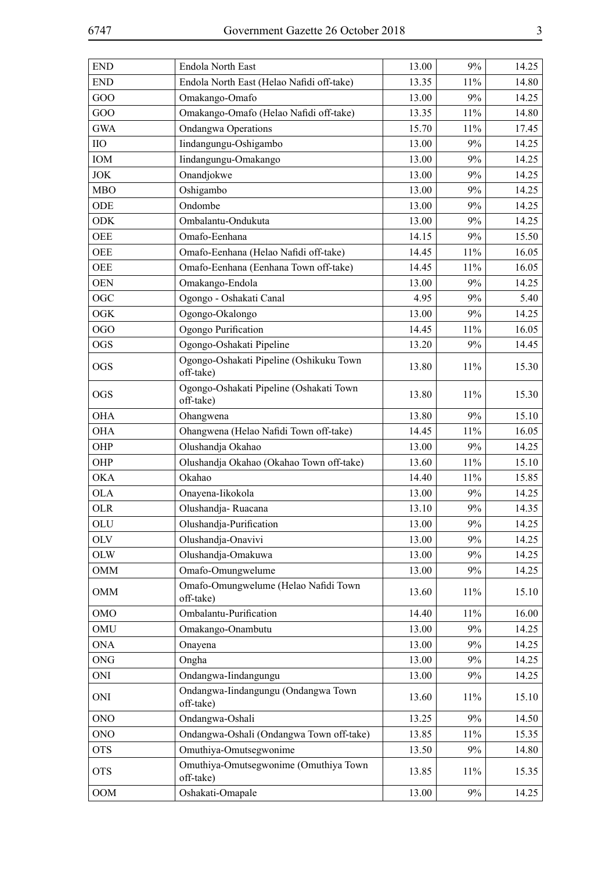| <b>END</b>  | Endola North East                                    | 13.00 | 9%  | 14.25 |
|-------------|------------------------------------------------------|-------|-----|-------|
| <b>END</b>  | Endola North East (Helao Nafidi off-take)            | 13.35 | 11% | 14.80 |
| GOO         | Omakango-Omafo                                       | 13.00 | 9%  | 14.25 |
| GOO         | Omakango-Omafo (Helao Nafidi off-take)               | 13.35 | 11% | 14.80 |
| <b>GWA</b>  | <b>Ondangwa Operations</b>                           | 15.70 | 11% | 17.45 |
| $_{\rm HO}$ | Iindangungu-Oshigambo                                | 13.00 | 9%  | 14.25 |
| IOM         | Iindangungu-Omakango                                 | 13.00 | 9%  | 14.25 |
| <b>JOK</b>  | Onandjokwe                                           | 13.00 | 9%  | 14.25 |
| <b>MBO</b>  | Oshigambo                                            | 13.00 | 9%  | 14.25 |
| ODE         | Ondombe                                              | 13.00 | 9%  | 14.25 |
| <b>ODK</b>  | Ombalantu-Ondukuta                                   | 13.00 | 9%  | 14.25 |
| <b>OEE</b>  | Omafo-Eenhana                                        | 14.15 | 9%  | 15.50 |
| <b>OEE</b>  | Omafo-Eenhana (Helao Nafidi off-take)                | 14.45 | 11% | 16.05 |
| <b>OEE</b>  | Omafo-Eenhana (Eenhana Town off-take)                | 14.45 | 11% | 16.05 |
| <b>OEN</b>  | Omakango-Endola                                      | 13.00 | 9%  | 14.25 |
| OGC         | Ogongo - Oshakati Canal                              | 4.95  | 9%  | 5.40  |
| <b>OGK</b>  | Ogongo-Okalongo                                      | 13.00 | 9%  | 14.25 |
| <b>OGO</b>  | Ogongo Purification                                  | 14.45 | 11% | 16.05 |
| <b>OGS</b>  | Ogongo-Oshakati Pipeline                             | 13.20 | 9%  | 14.45 |
| <b>OGS</b>  | Ogongo-Oshakati Pipeline (Oshikuku Town<br>off-take) | 13.80 | 11% | 15.30 |
| <b>OGS</b>  | Ogongo-Oshakati Pipeline (Oshakati Town<br>off-take) | 13.80 | 11% | 15.30 |
| <b>OHA</b>  | Ohangwena                                            | 13.80 | 9%  | 15.10 |
| <b>OHA</b>  | Ohangwena (Helao Nafidi Town off-take)               | 14.45 | 11% | 16.05 |
| OHP         | Olushandja Okahao                                    | 13.00 | 9%  | 14.25 |
| OHP         | Olushandja Okahao (Okahao Town off-take)             | 13.60 | 11% | 15.10 |
| <b>OKA</b>  | Okahao                                               | 14.40 | 11% | 15.85 |
| <b>OLA</b>  | Onayena-Iikokola                                     | 13.00 | 9%  | 14.25 |
| <b>OLR</b>  | Olushandja-Ruacana                                   | 13.10 | 9%  | 14.35 |
| OLU         | Olushandja-Purification                              | 13.00 | 9%  | 14.25 |
| <b>OLV</b>  | Olushandja-Onavivi                                   | 13.00 | 9%  | 14.25 |
| <b>OLW</b>  | Olushandja-Omakuwa                                   | 13.00 | 9%  | 14.25 |
| <b>OMM</b>  | Omafo-Omungwelume                                    | 13.00 | 9%  | 14.25 |
| <b>OMM</b>  | Omafo-Omungwelume (Helao Nafidi Town<br>off-take)    | 13.60 | 11% | 15.10 |
| <b>OMO</b>  | Ombalantu-Purification                               | 14.40 | 11% | 16.00 |
| OMU         | Omakango-Onambutu                                    | 13.00 | 9%  | 14.25 |
| <b>ONA</b>  | Onayena                                              | 13.00 | 9%  | 14.25 |
| <b>ONG</b>  | Ongha                                                | 13.00 | 9%  | 14.25 |
| ONI         | Ondangwa-Iindangungu                                 | 13.00 | 9%  | 14.25 |
| <b>ONI</b>  | Ondangwa-Iindangungu (Ondangwa Town<br>off-take)     | 13.60 | 11% | 15.10 |
| <b>ONO</b>  | Ondangwa-Oshali                                      | 13.25 | 9%  | 14.50 |
| <b>ONO</b>  | Ondangwa-Oshali (Ondangwa Town off-take)             | 13.85 | 11% | 15.35 |
| <b>OTS</b>  | Omuthiya-Omutsegwonime                               | 13.50 | 9%  | 14.80 |
| <b>OTS</b>  | Omuthiya-Omutsegwonime (Omuthiya Town<br>off-take)   | 13.85 | 11% | 15.35 |
| <b>OOM</b>  | Oshakati-Omapale                                     | 13.00 | 9%  | 14.25 |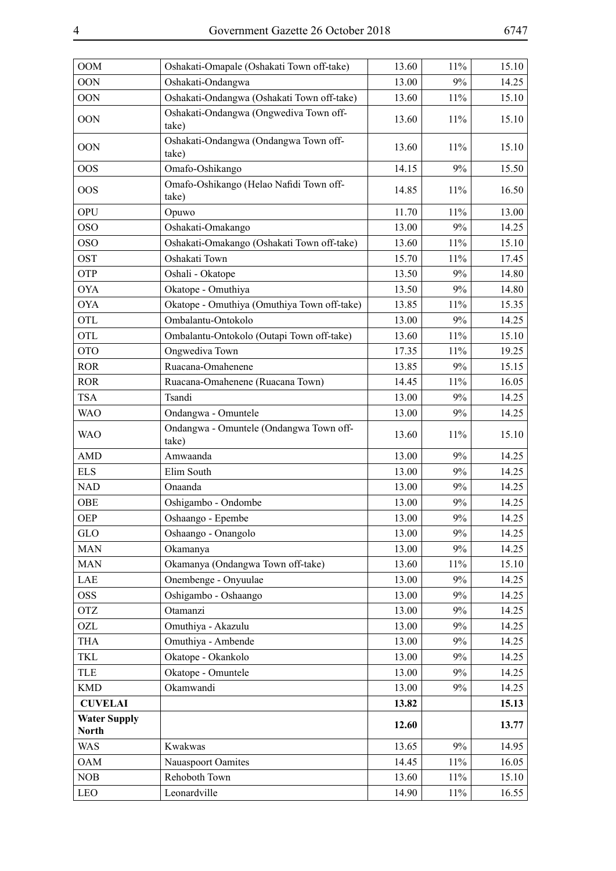| <b>OOM</b>                          | Oshakati-Omapale (Oshakati Town off-take)        | 13.60 | 11% | 15.10 |
|-------------------------------------|--------------------------------------------------|-------|-----|-------|
| <b>OON</b>                          | Oshakati-Ondangwa                                | 13.00 | 9%  | 14.25 |
| <b>OON</b>                          | Oshakati-Ondangwa (Oshakati Town off-take)       | 13.60 | 11% | 15.10 |
| <b>OON</b>                          | Oshakati-Ondangwa (Ongwediva Town off-<br>take)  | 13.60 | 11% | 15.10 |
| <b>OON</b>                          | Oshakati-Ondangwa (Ondangwa Town off-<br>take)   | 13.60 | 11% | 15.10 |
| <b>OOS</b>                          | Omafo-Oshikango                                  | 14.15 | 9%  | 15.50 |
| <b>OOS</b>                          | Omafo-Oshikango (Helao Nafidi Town off-<br>take) | 14.85 | 11% | 16.50 |
| OPU                                 | Opuwo                                            | 11.70 | 11% | 13.00 |
| <b>OSO</b>                          | Oshakati-Omakango                                | 13.00 | 9%  | 14.25 |
| <b>OSO</b>                          | Oshakati-Omakango (Oshakati Town off-take)       | 13.60 | 11% | 15.10 |
| <b>OST</b>                          | Oshakati Town                                    | 15.70 | 11% | 17.45 |
| OTP                                 | Oshali - Okatope                                 | 13.50 | 9%  | 14.80 |
| <b>OYA</b>                          | Okatope - Omuthiya                               | 13.50 | 9%  | 14.80 |
| <b>OYA</b>                          | Okatope - Omuthiya (Omuthiya Town off-take)      | 13.85 | 11% | 15.35 |
| <b>OTL</b>                          | Ombalantu-Ontokolo                               | 13.00 | 9%  | 14.25 |
| <b>OTL</b>                          | Ombalantu-Ontokolo (Outapi Town off-take)        | 13.60 | 11% | 15.10 |
| <b>OTO</b>                          | Ongwediva Town                                   | 17.35 | 11% | 19.25 |
| <b>ROR</b>                          | Ruacana-Omahenene                                | 13.85 | 9%  | 15.15 |
| <b>ROR</b>                          | Ruacana-Omahenene (Ruacana Town)                 | 14.45 | 11% | 16.05 |
| <b>TSA</b>                          | Tsandi                                           | 13.00 | 9%  | 14.25 |
| <b>WAO</b>                          | Ondangwa - Omuntele                              | 13.00 | 9%  | 14.25 |
| <b>WAO</b>                          | Ondangwa - Omuntele (Ondangwa Town off-<br>take) | 13.60 | 11% | 15.10 |
| <b>AMD</b>                          | Amwaanda                                         | 13.00 | 9%  | 14.25 |
| <b>ELS</b>                          | Elim South                                       | 13.00 | 9%  | 14.25 |
| <b>NAD</b>                          | Onaanda                                          | 13.00 | 9%  | 14.25 |
| <b>OBE</b>                          | Oshigambo - Ondombe                              | 13.00 | 9%  | 14.25 |
| <b>OEP</b>                          | Oshaango - Epembe                                | 13.00 | 9%  | 14.25 |
| <b>GLO</b>                          | Oshaango - Onangolo                              | 13.00 | 9%  | 14.25 |
| <b>MAN</b>                          | Okamanya                                         | 13.00 | 9%  | 14.25 |
| <b>MAN</b>                          | Okamanya (Ondangwa Town off-take)                | 13.60 | 11% | 15.10 |
| LAE                                 | Onembenge - Onyuulae                             | 13.00 | 9%  | 14.25 |
| <b>OSS</b>                          | Oshigambo - Oshaango                             | 13.00 | 9%  | 14.25 |
| <b>OTZ</b>                          | Otamanzi                                         | 13.00 | 9%  | 14.25 |
| OZL                                 | Omuthiya - Akazulu                               | 13.00 | 9%  | 14.25 |
| <b>THA</b>                          | Omuthiya - Ambende                               | 13.00 | 9%  | 14.25 |
| <b>TKL</b>                          | Okatope - Okankolo                               | 13.00 | 9%  | 14.25 |
| <b>TLE</b>                          | Okatope - Omuntele                               | 13.00 | 9%  | 14.25 |
| <b>KMD</b>                          | Okamwandi                                        | 13.00 | 9%  | 14.25 |
| <b>CUVELAI</b>                      |                                                  | 13.82 |     | 15.13 |
| <b>Water Supply</b><br><b>North</b> |                                                  | 12.60 |     | 13.77 |
| <b>WAS</b>                          | Kwakwas                                          | 13.65 | 9%  | 14.95 |
| <b>OAM</b>                          | Nauaspoort Oamites                               | 14.45 | 11% | 16.05 |
| NOB                                 | Rehoboth Town                                    | 13.60 | 11% | 15.10 |
| LEO                                 | Leonardville                                     | 14.90 | 11% | 16.55 |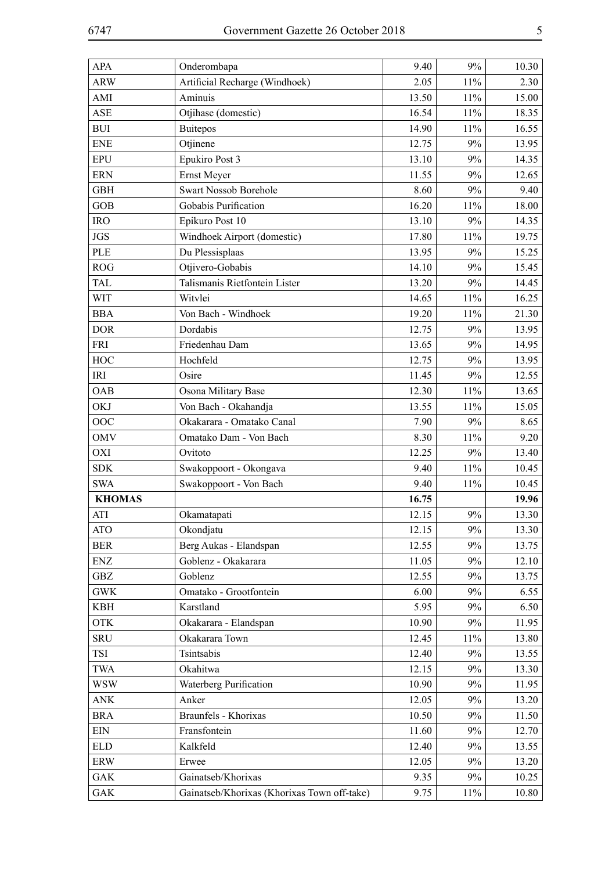| <b>APA</b>    | Onderombapa                                 | 9.40  | 9%     | 10.30 |
|---------------|---------------------------------------------|-------|--------|-------|
| <b>ARW</b>    | Artificial Recharge (Windhoek)              | 2.05  | 11%    | 2.30  |
| AMI           | Aminuis                                     | 13.50 | 11%    | 15.00 |
| <b>ASE</b>    | Otjihase (domestic)                         | 16.54 | 11%    | 18.35 |
| <b>BUI</b>    | <b>Buitepos</b>                             | 14.90 | 11%    | 16.55 |
| <b>ENE</b>    | Otjinene                                    | 12.75 | 9%     | 13.95 |
| <b>EPU</b>    | Epukiro Post 3                              | 13.10 | 9%     | 14.35 |
| <b>ERN</b>    | Ernst Meyer                                 | 11.55 | 9%     | 12.65 |
| <b>GBH</b>    | Swart Nossob Borehole                       | 8.60  | 9%     | 9.40  |
| <b>GOB</b>    | Gobabis Purification                        | 16.20 | 11%    | 18.00 |
| <b>IRO</b>    | Epikuro Post 10                             | 13.10 | 9%     | 14.35 |
| <b>JGS</b>    | Windhoek Airport (domestic)                 | 17.80 | 11%    | 19.75 |
| <b>PLE</b>    | Du Plessisplaas                             | 13.95 | 9%     | 15.25 |
| ROG           | Otjivero-Gobabis                            | 14.10 | 9%     | 15.45 |
| TAL           | Talismanis Rietfontein Lister               | 13.20 | 9%     | 14.45 |
| <b>WIT</b>    | Witvlei                                     | 14.65 | 11%    | 16.25 |
| <b>BBA</b>    | Von Bach - Windhoek                         | 19.20 | 11%    | 21.30 |
| <b>DOR</b>    | Dordabis                                    | 12.75 | 9%     | 13.95 |
| <b>FRI</b>    | Friedenhau Dam                              | 13.65 | 9%     | 14.95 |
| HOC           | Hochfeld                                    | 12.75 | 9%     | 13.95 |
| IRI           | Osire                                       | 11.45 | 9%     | 12.55 |
| OAB           | Osona Military Base                         | 12.30 | 11%    | 13.65 |
| <b>OKJ</b>    | Von Bach - Okahandja                        | 13.55 | 11%    | 15.05 |
| OOC           | Okakarara - Omatako Canal                   | 7.90  | 9%     | 8.65  |
| <b>OMV</b>    | Omatako Dam - Von Bach                      | 8.30  | 11%    | 9.20  |
| <b>OXI</b>    | Ovitoto                                     | 12.25 | 9%     | 13.40 |
| <b>SDK</b>    | Swakoppoort - Okongava                      | 9.40  | 11%    | 10.45 |
| <b>SWA</b>    | Swakoppoort - Von Bach                      | 9.40  | 11%    | 10.45 |
| <b>KHOMAS</b> |                                             | 16.75 |        | 19.96 |
| <b>ATI</b>    | Okamatapati                                 | 12.15 | 9%     | 13.30 |
| <b>ATO</b>    | Okondjatu                                   | 12.15 | 9%     | 13.30 |
| <b>BER</b>    | Berg Aukas - Elandspan                      | 12.55 | 9%     | 13.75 |
| ENZ           | Goblenz - Okakarara                         | 11.05 | 9%     | 12.10 |
| GBZ           | Goblenz                                     | 12.55 | 9%     | 13.75 |
| <b>GWK</b>    | Omatako - Grootfontein                      | 6.00  | 9%     | 6.55  |
| <b>KBH</b>    | Karstland                                   | 5.95  | 9%     | 6.50  |
| <b>OTK</b>    | Okakarara - Elandspan                       | 10.90 | 9%     | 11.95 |
| <b>SRU</b>    | Okakarara Town                              | 12.45 | 11%    | 13.80 |
| TSI           | Tsintsabis                                  | 12.40 | 9%     | 13.55 |
| <b>TWA</b>    | Okahitwa                                    | 12.15 | 9%     | 13.30 |
| <b>WSW</b>    | Waterberg Purification                      | 10.90 | 9%     | 11.95 |
| <b>ANK</b>    | Anker                                       | 12.05 | 9%     | 13.20 |
| <b>BRA</b>    | Braunfels - Khorixas                        | 10.50 | 9%     | 11.50 |
| <b>EIN</b>    | Fransfontein                                | 11.60 | 9%     | 12.70 |
| <b>ELD</b>    | Kalkfeld                                    | 12.40 | 9%     | 13.55 |
| ERW           | Erwee                                       | 12.05 | 9%     | 13.20 |
| <b>GAK</b>    | Gainatseb/Khorixas                          | 9.35  | 9%     | 10.25 |
| <b>GAK</b>    | Gainatseb/Khorixas (Khorixas Town off-take) | 9.75  | $11\%$ | 10.80 |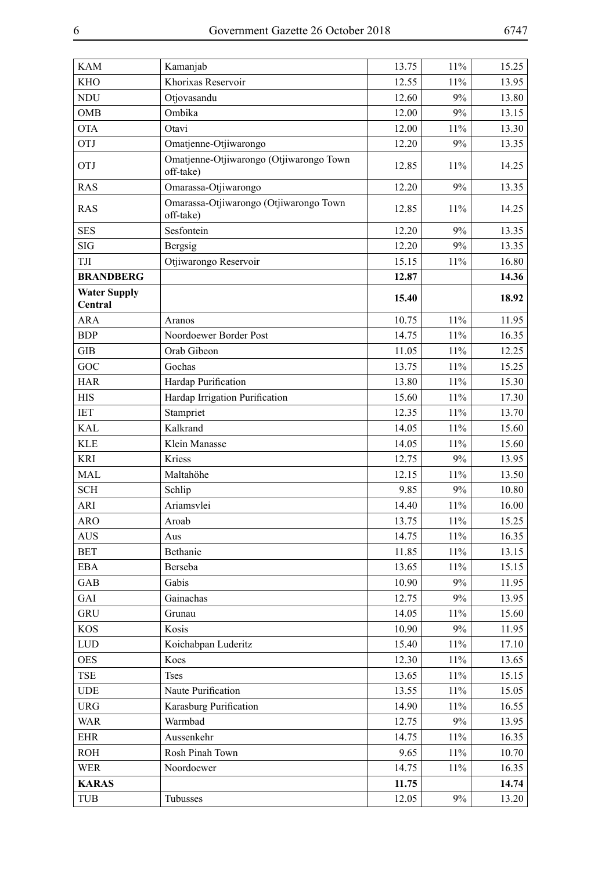| <b>KAM</b>          | Kamanjab                                             | 13.75 | 11%    | 15.25 |
|---------------------|------------------------------------------------------|-------|--------|-------|
| <b>KHO</b>          | Khorixas Reservoir                                   | 12.55 | 11%    | 13.95 |
| <b>NDU</b>          | Otjovasandu                                          | 12.60 | 9%     | 13.80 |
| <b>OMB</b>          | Ombika                                               | 12.00 | 9%     | 13.15 |
| <b>OTA</b>          | Otavi                                                | 12.00 | 11%    | 13.30 |
| OTJ                 | Omatjenne-Otjiwarongo                                | 12.20 | 9%     | 13.35 |
| <b>OTJ</b>          | Omatjenne-Otjiwarongo (Otjiwarongo Town<br>off-take) | 12.85 | 11%    | 14.25 |
| <b>RAS</b>          | Omarassa-Otjiwarongo                                 | 12.20 | 9%     | 13.35 |
| <b>RAS</b>          | Omarassa-Otjiwarongo (Otjiwarongo Town<br>off-take)  | 12.85 | 11%    | 14.25 |
| <b>SES</b>          | Sesfontein                                           | 12.20 | 9%     | 13.35 |
| <b>SIG</b>          | Bergsig                                              | 12.20 | 9%     | 13.35 |
| TJI                 | Otjiwarongo Reservoir                                | 15.15 | 11%    | 16.80 |
| <b>BRANDBERG</b>    |                                                      | 12.87 |        | 14.36 |
| <b>Water Supply</b> |                                                      | 15.40 |        | 18.92 |
| Central             |                                                      |       |        |       |
| <b>ARA</b>          | Aranos                                               | 10.75 | 11%    | 11.95 |
| <b>BDP</b>          | Noordoewer Border Post                               | 14.75 | 11%    | 16.35 |
| <b>GIB</b>          | Orab Gibeon                                          | 11.05 | 11%    | 12.25 |
| GOC                 | Gochas                                               | 13.75 | 11%    | 15.25 |
| <b>HAR</b>          | Hardap Purification                                  | 13.80 | 11%    | 15.30 |
| <b>HIS</b>          | Hardap Irrigation Purification                       | 15.60 | 11%    | 17.30 |
| <b>IET</b>          | Stampriet                                            | 12.35 | 11%    | 13.70 |
| <b>KAL</b>          | Kalkrand                                             | 14.05 | 11%    | 15.60 |
| <b>KLE</b>          | Klein Manasse                                        | 14.05 | 11%    | 15.60 |
| <b>KRI</b>          | Kriess                                               | 12.75 | 9%     | 13.95 |
| <b>MAL</b>          | Maltahöhe                                            | 12.15 | 11%    | 13.50 |
| <b>SCH</b>          | Schlip                                               | 9.85  | 9%     | 10.80 |
| <b>ARI</b>          | Ariamsvlei                                           | 14.40 | 11%    | 16.00 |
| ARO                 | Aroab                                                | 13.75 | $11\%$ | 15.25 |
| <b>AUS</b>          | Aus                                                  | 14.75 | 11%    | 16.35 |
| <b>BET</b>          | Bethanie                                             | 11.85 | 11%    | 13.15 |
| <b>EBA</b>          | Berseba                                              | 13.65 | 11%    | 15.15 |
| GAB                 | Gabis                                                | 10.90 | 9%     | 11.95 |
| GAI                 | Gainachas                                            | 12.75 | 9%     | 13.95 |
| <b>GRU</b>          | Grunau                                               | 14.05 | 11%    | 15.60 |
| <b>KOS</b>          | Kosis                                                | 10.90 | 9%     | 11.95 |
| LUD                 | Koichabpan Luderitz                                  | 15.40 | 11%    | 17.10 |
| <b>OES</b>          | Koes                                                 | 12.30 | 11%    | 13.65 |
| <b>TSE</b>          | <b>Tses</b>                                          | 13.65 | 11%    | 15.15 |
| <b>UDE</b>          | Naute Purification                                   | 13.55 | 11%    | 15.05 |
| <b>URG</b>          | Karasburg Purification                               | 14.90 | 11%    | 16.55 |
| <b>WAR</b>          | Warmbad                                              | 12.75 | 9%     | 13.95 |
| <b>EHR</b>          | Aussenkehr                                           | 14.75 | 11%    | 16.35 |
| <b>ROH</b>          | Rosh Pinah Town                                      | 9.65  | 11%    | 10.70 |
| <b>WER</b>          | Noordoewer                                           | 14.75 | 11%    | 16.35 |
| <b>KARAS</b>        |                                                      | 11.75 |        | 14.74 |
| <b>TUB</b>          | Tubusses                                             | 12.05 | 9%     | 13.20 |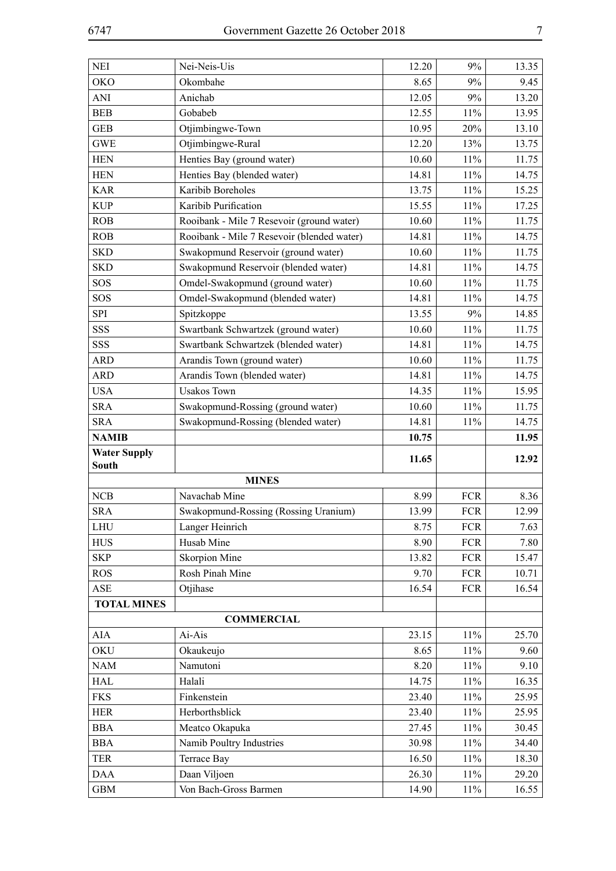| <b>NEI</b>               | Nei-Neis-Uis                               | 12.20          | 9%            | 13.35          |
|--------------------------|--------------------------------------------|----------------|---------------|----------------|
| <b>OKO</b>               | Okombahe                                   | 8.65           | 9%            | 9.45           |
| <b>ANI</b>               | Anichab                                    | 12.05          | 9%            | 13.20          |
| <b>BEB</b>               | Gobabeb                                    | 12.55          | 11%           | 13.95          |
| <b>GEB</b>               | Otjimbingwe-Town                           | 10.95          | 20%           | 13.10          |
| <b>GWE</b>               | Otjimbingwe-Rural                          | 12.20          | 13%           | 13.75          |
| <b>HEN</b>               | Henties Bay (ground water)                 | 10.60          | 11%           | 11.75          |
| <b>HEN</b>               | Henties Bay (blended water)                | 14.81          | 11%           | 14.75          |
| <b>KAR</b>               | Karibib Boreholes                          | 13.75          | 11%           | 15.25          |
| <b>KUP</b>               | Karibib Purification                       | 15.55          | 11%           | 17.25          |
| ROB                      | Rooibank - Mile 7 Resevoir (ground water)  | 10.60          | 11%           | 11.75          |
| ROB                      | Rooibank - Mile 7 Resevoir (blended water) | 14.81          | 11%           | 14.75          |
| <b>SKD</b>               | Swakopmund Reservoir (ground water)        | 10.60          | 11%           | 11.75          |
| <b>SKD</b>               | Swakopmund Reservoir (blended water)       | 14.81          | 11%           | 14.75          |
| SOS                      | Omdel-Swakopmund (ground water)            | 10.60          | 11%           | 11.75          |
| SOS                      | Omdel-Swakopmund (blended water)           | 14.81          | 11%           | 14.75          |
| <b>SPI</b>               | Spitzkoppe                                 | 13.55          | 9%            | 14.85          |
| SSS                      | Swartbank Schwartzek (ground water)        | 10.60          | 11%           | 11.75          |
| SSS                      | Swartbank Schwartzek (blended water)       | 14.81          | 11%           | 14.75          |
| <b>ARD</b>               | Arandis Town (ground water)                | 10.60          | 11%           | 11.75          |
| <b>ARD</b>               | Arandis Town (blended water)               | 14.81          | 11%           | 14.75          |
| <b>USA</b>               | <b>Usakos Town</b>                         | 14.35          | 11%           | 15.95          |
| <b>SRA</b>               | Swakopmund-Rossing (ground water)          | 10.60          | $11\%$        | 11.75          |
| <b>SRA</b>               | Swakopmund-Rossing (blended water)         | 14.81          | $11\%$        | 14.75          |
|                          |                                            |                |               |                |
| <b>NAMIB</b>             |                                            | 10.75          |               | 11.95          |
| <b>Water Supply</b>      |                                            |                |               |                |
| <b>South</b>             |                                            | 11.65          |               | 12.92          |
|                          | <b>MINES</b>                               |                |               |                |
| NCB                      | Navachab Mine                              | 8.99           | <b>FCR</b>    | 8.36           |
| <b>SRA</b>               | Swakopmund-Rossing (Rossing Uranium)       | 13.99          | <b>FCR</b>    | 12.99          |
| LHU                      | Langer Heinrich                            | 8.75           | <b>FCR</b>    | 7.63           |
| <b>HUS</b>               | Husab Mine                                 | 8.90           | <b>FCR</b>    | 7.80           |
| <b>SKP</b>               | Skorpion Mine                              | 13.82          | <b>FCR</b>    | 15.47          |
| <b>ROS</b>               | Rosh Pinah Mine                            | 9.70           | <b>FCR</b>    | 10.71          |
| ASE                      | Otjihase                                   | 16.54          | <b>FCR</b>    | 16.54          |
| <b>TOTAL MINES</b>       |                                            |                |               |                |
|                          | <b>COMMERCIAL</b>                          |                |               |                |
| <b>AIA</b>               | Ai-Ais                                     | 23.15          | $11\%$        | 25.70          |
| <b>OKU</b>               | Okaukeujo                                  | 8.65           | $11\%$        | 9.60           |
| <b>NAM</b>               | Namutoni                                   | 8.20           | $11\%$        | 9.10           |
| <b>HAL</b>               | Halali                                     | 14.75          | $11\%$        | 16.35          |
| <b>FKS</b>               | Finkenstein                                | 23.40          | $11\%$        | 25.95          |
| <b>HER</b>               | Herborthsblick                             | 23.40          | $11\%$        | 25.95          |
| <b>BBA</b>               | Meatco Okapuka                             | 27.45          | 11%           | 30.45          |
| <b>BBA</b>               | Namib Poultry Industries                   | 30.98          | $11\%$        | 34.40          |
| <b>TER</b>               | Terrace Bay                                | 16.50          | 11%           | 18.30          |
| <b>DAA</b><br><b>GBM</b> | Daan Viljoen<br>Von Bach-Gross Barmen      | 26.30<br>14.90 | 11%<br>$11\%$ | 29.20<br>16.55 |